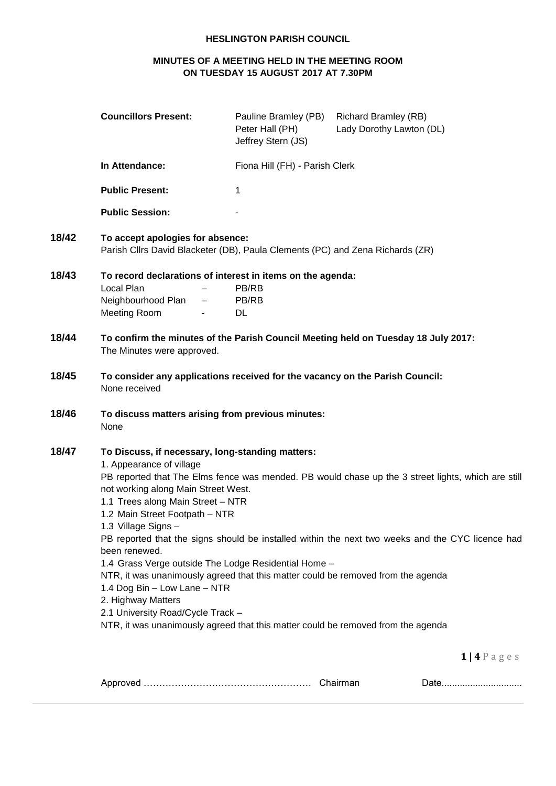## **HESLINGTON PARISH COUNCIL**

# **MINUTES OF A MEETING HELD IN THE MEETING ROOM ON TUESDAY 15 AUGUST 2017 AT 7.30PM**

|       | <b>Councillors Present:</b>                                                                                                                                                                                                                                                                                                                                                                                                                                                                                                                                   | Pauline Bramley (PB)<br>Peter Hall (PH)<br>Jeffrey Stern (JS) | <b>Richard Bramley (RB)</b><br>Lady Dorothy Lawton (DL)                                                                                                                                                |
|-------|---------------------------------------------------------------------------------------------------------------------------------------------------------------------------------------------------------------------------------------------------------------------------------------------------------------------------------------------------------------------------------------------------------------------------------------------------------------------------------------------------------------------------------------------------------------|---------------------------------------------------------------|--------------------------------------------------------------------------------------------------------------------------------------------------------------------------------------------------------|
|       | In Attendance:                                                                                                                                                                                                                                                                                                                                                                                                                                                                                                                                                | Fiona Hill (FH) - Parish Clerk                                |                                                                                                                                                                                                        |
|       | <b>Public Present:</b>                                                                                                                                                                                                                                                                                                                                                                                                                                                                                                                                        | 1                                                             |                                                                                                                                                                                                        |
|       | <b>Public Session:</b>                                                                                                                                                                                                                                                                                                                                                                                                                                                                                                                                        |                                                               |                                                                                                                                                                                                        |
| 18/42 | To accept apologies for absence:<br>Parish Cllrs David Blacketer (DB), Paula Clements (PC) and Zena Richards (ZR)                                                                                                                                                                                                                                                                                                                                                                                                                                             |                                                               |                                                                                                                                                                                                        |
| 18/43 | To record declarations of interest in items on the agenda:<br>Local Plan<br>Neighbourhood Plan<br><b>Meeting Room</b>                                                                                                                                                                                                                                                                                                                                                                                                                                         | PB/RB<br>PB/RB<br>DL                                          |                                                                                                                                                                                                        |
| 18/44 | The Minutes were approved.                                                                                                                                                                                                                                                                                                                                                                                                                                                                                                                                    |                                                               | To confirm the minutes of the Parish Council Meeting held on Tuesday 18 July 2017:                                                                                                                     |
| 18/45 | To consider any applications received for the vacancy on the Parish Council:<br>None received                                                                                                                                                                                                                                                                                                                                                                                                                                                                 |                                                               |                                                                                                                                                                                                        |
| 18/46 | To discuss matters arising from previous minutes:<br>None                                                                                                                                                                                                                                                                                                                                                                                                                                                                                                     |                                                               |                                                                                                                                                                                                        |
| 18/47 | To Discuss, if necessary, long-standing matters:<br>1. Appearance of village<br>not working along Main Street West.<br>1.1 Trees along Main Street - NTR<br>1.2 Main Street Footpath - NTR<br>1.3 Village Signs -<br>been renewed.<br>1.4 Grass Verge outside The Lodge Residential Home -<br>NTR, it was unanimously agreed that this matter could be removed from the agenda<br>1.4 Dog Bin - Low Lane - NTR<br>2. Highway Matters<br>2.1 University Road/Cycle Track -<br>NTR, it was unanimously agreed that this matter could be removed from the agenda |                                                               | PB reported that The Elms fence was mended. PB would chase up the 3 street lights, which are still<br>PB reported that the signs should be installed within the next two weeks and the CYC licence had |

**1 | 4** P a g e s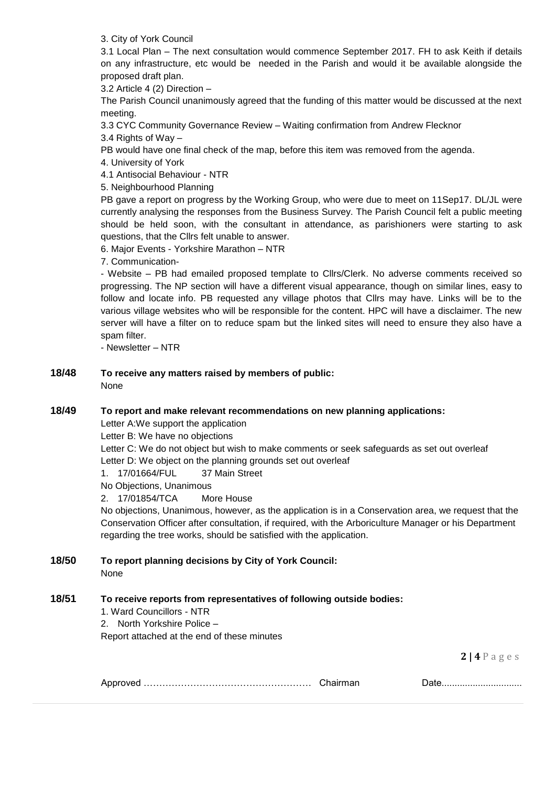3. City of York Council

3.1 Local Plan – The next consultation would commence September 2017. FH to ask Keith if details on any infrastructure, etc would be needed in the Parish and would it be available alongside the proposed draft plan.

3.2 Article 4 (2) Direction –

The Parish Council unanimously agreed that the funding of this matter would be discussed at the next meeting.

3.3 CYC Community Governance Review – Waiting confirmation from Andrew Flecknor

3.4 Rights of Way –

PB would have one final check of the map, before this item was removed from the agenda.

4. University of York

4.1 Antisocial Behaviour - NTR

5. Neighbourhood Planning

PB gave a report on progress by the Working Group, who were due to meet on 11Sep17. DL/JL were currently analysing the responses from the Business Survey. The Parish Council felt a public meeting should be held soon, with the consultant in attendance, as parishioners were starting to ask questions, that the Cllrs felt unable to answer.

6. Major Events - Yorkshire Marathon – NTR

7. Communication-

- Website – PB had emailed proposed template to Cllrs/Clerk. No adverse comments received so progressing. The NP section will have a different visual appearance, though on similar lines, easy to follow and locate info. PB requested any village photos that Cllrs may have. Links will be to the various village websites who will be responsible for the content. HPC will have a disclaimer. The new server will have a filter on to reduce spam but the linked sites will need to ensure they also have a spam filter.

- Newsletter – NTR

**18/48 To receive any matters raised by members of public:** None

### **18/49 To report and make relevant recommendations on new planning applications:**

Letter A:We support the application

Letter B: We have no objections

Letter C: We do not object but wish to make comments or seek safeguards as set out overleaf Letter D: We object on the planning grounds set out overleaf

1. 17/01664/FUL 37 Main Street

No Objections, Unanimous

2. 17/01854/TCA More House

No objections, Unanimous, however, as the application is in a Conservation area, we request that the Conservation Officer after consultation, if required, with the Arboriculture Manager or his Department regarding the tree works, should be satisfied with the application.

**18/50 To report planning decisions by City of York Council:**

None

## **18/51 To receive reports from representatives of following outside bodies:**

1. Ward Councillors - NTR

2. North Yorkshire Police –

Report attached at the end of these minutes

**2 | 4** P a g e s

|  |  | <u>Daw</u> |
|--|--|------------|
|--|--|------------|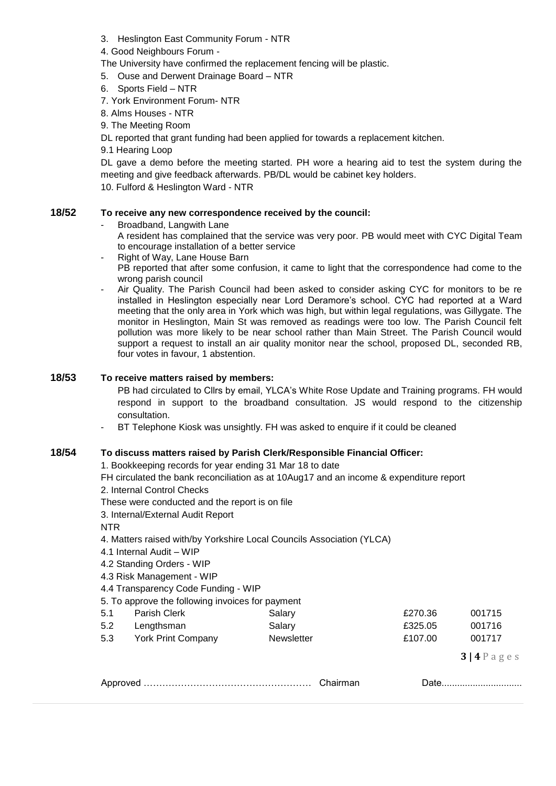- 3. Heslington East Community Forum NTR
- 4. Good Neighbours Forum -
- The University have confirmed the replacement fencing will be plastic.
- 5. Ouse and Derwent Drainage Board NTR
- 6. Sports Field NTR
- 7. York Environment Forum- NTR
- 8. Alms Houses NTR
- 9. The Meeting Room
- DL reported that grant funding had been applied for towards a replacement kitchen.
- 9.1 Hearing Loop

DL gave a demo before the meeting started. PH wore a hearing aid to test the system during the meeting and give feedback afterwards. PB/DL would be cabinet key holders.

10. Fulford & Heslington Ward - NTR

### **18/52 To receive any new correspondence received by the council:**

- Broadband, Langwith Lane
	- A resident has complained that the service was very poor. PB would meet with CYC Digital Team to encourage installation of a better service
- Right of Way, Lane House Barn
- PB reported that after some confusion, it came to light that the correspondence had come to the wrong parish council
- Air Quality. The Parish Council had been asked to consider asking CYC for monitors to be re installed in Heslington especially near Lord Deramore's school. CYC had reported at a Ward meeting that the only area in York which was high, but within legal regulations, was Gillygate. The monitor in Heslington, Main St was removed as readings were too low. The Parish Council felt pollution was more likely to be near school rather than Main Street. The Parish Council would support a request to install an air quality monitor near the school, proposed DL, seconded RB, four votes in favour, 1 abstention.

### **18/53 To receive matters raised by members:**

PB had circulated to Cllrs by email, YLCA's White Rose Update and Training programs. FH would respond in support to the broadband consultation. JS would respond to the citizenship consultation.

BT Telephone Kiosk was unsightly. FH was asked to enquire if it could be cleaned

### **18/54 To discuss matters raised by Parish Clerk/Responsible Financial Officer:**

1. Bookkeeping records for year ending 31 Mar 18 to date

- FH circulated the bank reconciliation as at 10Aug17 and an income & expenditure report
- 2. Internal Control Checks
- These were conducted and the report is on file
- 3. Internal/External Audit Report
- NTR
- 4. Matters raised with/by Yorkshire Local Councils Association (YLCA)
- 4.1 Internal Audit WIP
- 4.2 Standing Orders WIP
- 4.3 Risk Management WIP
- 4.4 Transparency Code Funding WIP
- 5. To approve the following invoices for payment

| 5.1 | Parish Clerk       | Salary            | £270.36 | 001715 |
|-----|--------------------|-------------------|---------|--------|
| 5.2 | Lengthsman         | Salary            | £325.05 | 001716 |
| 5.3 | York Print Company | <b>Newsletter</b> | £107.00 | 001717 |

**3 | 4** P a g e s

|--|--|--|